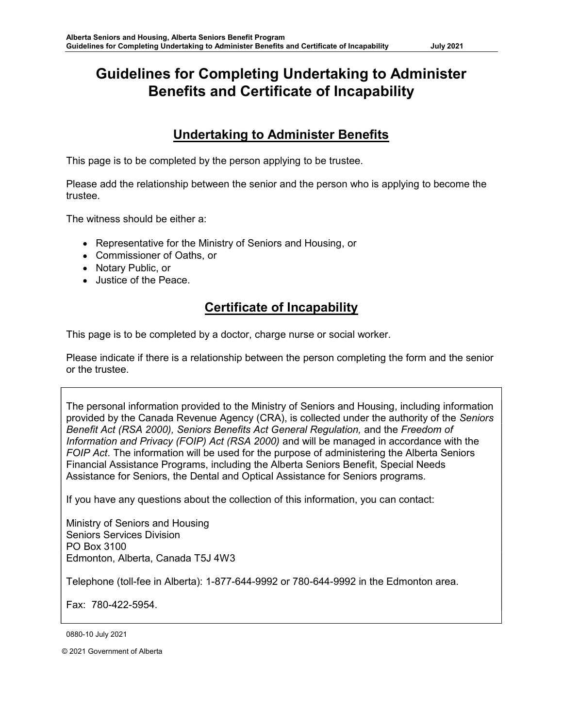## Guidelines for Completing Undertaking to Administer Benefits and Certificate of Incapability

### Undertaking to Administer Benefits

This page is to be completed by the person applying to be trustee.

Please add the relationship between the senior and the person who is applying to become the trustee.

The witness should be either a:

- Representative for the Ministry of Seniors and Housing, or
- Commissioner of Oaths, or
- Notary Public, or
- Justice of the Peace.

## Certificate of Incapability

This page is to be completed by a doctor, charge nurse or social worker.

Please indicate if there is a relationship between the person completing the form and the senior or the trustee.

The personal information provided to the Ministry of Seniors and Housing, including information provided by the Canada Revenue Agency (CRA), is collected under the authority of the Seniors Benefit Act (RSA 2000), Seniors Benefits Act General Regulation, and the Freedom of Information and Privacy (FOIP) Act (RSA 2000) and will be managed in accordance with the FOIP Act. The information will be used for the purpose of administering the Alberta Seniors Financial Assistance Programs, including the Alberta Seniors Benefit, Special Needs Assistance for Seniors, the Dental and Optical Assistance for Seniors programs.

If you have any questions about the collection of this information, you can contact:

Ministry of Seniors and Housing Seniors Services Division PO Box 3100 Edmonton, Alberta, Canada T5J 4W3

Telephone (toll-fee in Alberta): 1-877-644-9992 or 780-644-9992 in the Edmonton area.

Fax: 780-422-5954.

<sup>0880-10</sup> July 2021

<sup>© 20</sup>21 Government of Alberta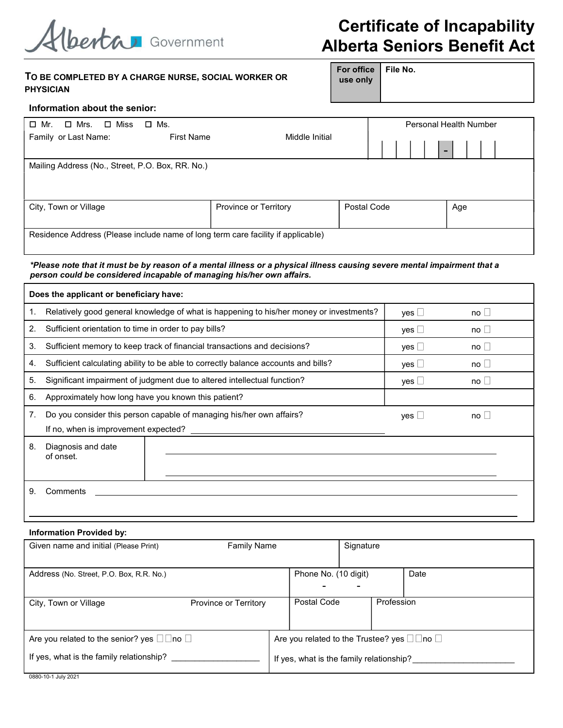

# Certificate of Incapability Alberta Seniors Benefit Act

File No.

|                                                     | For office   File No. |  |
|-----------------------------------------------------|-----------------------|--|
| TO BE COMPLETED BY A CHARGE NURSE, SOCIAL WORKER OR | use only              |  |
| <b>PHYSICIAN</b>                                    |                       |  |

| TO BE COMPLETED BY A CHARGE NURSE, SOCIAL WORKER OR<br><b>PHYSICIAN</b>                                                                                                                           |                       | סטוווע<br>use only | . ווס וזט. |     |                        |                      |  |
|---------------------------------------------------------------------------------------------------------------------------------------------------------------------------------------------------|-----------------------|--------------------|------------|-----|------------------------|----------------------|--|
| Information about the senior:                                                                                                                                                                     |                       |                    |            |     |                        |                      |  |
| $\Box$ Ms.<br>$\Box$ Mr.<br>$\Box$ Mrs.<br>$\Box$ Miss                                                                                                                                            |                       |                    |            |     | Personal Health Number |                      |  |
| Family or Last Name:<br><b>First Name</b>                                                                                                                                                         | Middle Initial        |                    |            |     |                        |                      |  |
| Mailing Address (No., Street, P.O. Box, RR. No.)                                                                                                                                                  |                       |                    |            |     |                        |                      |  |
|                                                                                                                                                                                                   |                       |                    |            |     |                        |                      |  |
| City, Town or Village                                                                                                                                                                             | Province or Territory | Postal Code        |            |     | Age                    |                      |  |
|                                                                                                                                                                                                   |                       |                    |            |     |                        |                      |  |
| Residence Address (Please include name of long term care facility if applicable)                                                                                                                  |                       |                    |            |     |                        |                      |  |
| *Please note that it must be by reason of a mental illness or a physical illness causing severe mental impairment that a<br>person could be considered incapable of managing his/her own affairs. |                       |                    |            |     |                        |                      |  |
| Does the applicant or beneficiary have:                                                                                                                                                           |                       |                    |            |     |                        |                      |  |
| Relatively good general knowledge of what is happening to his/her money or investments?                                                                                                           |                       |                    |            | ves |                        | no                   |  |
| Sufficient orientation to time in order to pay bills?<br>2.                                                                                                                                       |                       |                    |            | yes |                        | no                   |  |
| Sufficient memory to keep track of financial transactions and decisions?<br>3.                                                                                                                    |                       |                    |            | yes |                        | no                   |  |
| Sufficient calculating ability to be able to correctly balance accounts and bills?<br>4.                                                                                                          |                       |                    |            | yes |                        | $\mathsf{no} \sqcup$ |  |
| Significant impairment of judgment due to altered intellectual function?<br>5.                                                                                                                    |                       |                    |            | ves |                        | no                   |  |
| 6. Approximately how long have you known this patient?                                                                                                                                            |                       |                    |            |     |                        |                      |  |

| □ Mr.<br>$\square$ Mrs.<br>$\Box$ Miss<br>□ Ms.                                                                          |                              |             | Personal Health Number |           |  |  |  |  |  |
|--------------------------------------------------------------------------------------------------------------------------|------------------------------|-------------|------------------------|-----------|--|--|--|--|--|
| Family or Last Name:<br><b>First Name</b>                                                                                | Middle Initial               |             |                        |           |  |  |  |  |  |
| Mailing Address (No., Street, P.O. Box, RR. No.)                                                                         |                              |             |                        |           |  |  |  |  |  |
|                                                                                                                          |                              |             |                        |           |  |  |  |  |  |
| City, Town or Village                                                                                                    | <b>Province or Territory</b> | Postal Code |                        | Age       |  |  |  |  |  |
|                                                                                                                          |                              |             |                        |           |  |  |  |  |  |
| Residence Address (Please include name of long term care facility if applicable)                                         |                              |             |                        |           |  |  |  |  |  |
| *Please note that it must be by reason of a mental illness or a physical illness causing severe mental impairment that a |                              |             |                        |           |  |  |  |  |  |
| person could be considered incapable of managing his/her own affairs.                                                    |                              |             |                        |           |  |  |  |  |  |
| Does the applicant or beneficiary have:                                                                                  |                              |             |                        |           |  |  |  |  |  |
| Relatively good general knowledge of what is happening to his/her money or investments?<br>1.                            |                              |             | yes                    | $no$      |  |  |  |  |  |
| 2.<br>Sufficient orientation to time in order to pay bills?                                                              |                              |             | yes                    | no        |  |  |  |  |  |
| Sufficient memory to keep track of financial transactions and decisions?<br>3.                                           |                              |             | yes $\square$          | $no \Box$ |  |  |  |  |  |
| Sufficient calculating ability to be able to correctly balance accounts and bills?<br>4.                                 |                              |             | yes                    | $no \Box$ |  |  |  |  |  |
| Significant impairment of judgment due to altered intellectual function?<br>5.                                           |                              |             | yes                    | $no \Box$ |  |  |  |  |  |
| Approximately how long have you known this patient?<br>6.                                                                |                              |             |                        |           |  |  |  |  |  |
| Do you consider this person capable of managing his/her own affairs?<br>7.                                               |                              |             | yes                    | no        |  |  |  |  |  |
| If no, when is improvement expected?                                                                                     |                              |             |                        |           |  |  |  |  |  |
| Diagnosis and date<br>8.<br>of onset.                                                                                    |                              |             |                        |           |  |  |  |  |  |
|                                                                                                                          |                              |             |                        |           |  |  |  |  |  |
| Comments<br>9.                                                                                                           |                              |             |                        |           |  |  |  |  |  |
|                                                                                                                          |                              |             |                        |           |  |  |  |  |  |
|                                                                                                                          |                              |             |                        |           |  |  |  |  |  |
| <b>Information Provided by:</b>                                                                                          |                              |             |                        |           |  |  |  |  |  |
| Given name and initial (Please Print)                                                                                    | <b>Family Name</b>           | Signature   |                        |           |  |  |  |  |  |

#### Information Provided by:

| Phone No. (10 digit)<br>Date<br>Address (No. Street, P.O. Box, R.R. No.)                                                                |
|-----------------------------------------------------------------------------------------------------------------------------------------|
|                                                                                                                                         |
| Postal Code<br>Profession<br>Province or Territory<br>City, Town or Village                                                             |
|                                                                                                                                         |
| Are you related to the senior? yes $\square \square$ no $\square$<br>Are you related to the Trustee? yes $\square \square$ no $\square$ |
| If yes, what is the family relationship?<br>If yes, what is the family relationship?                                                    |